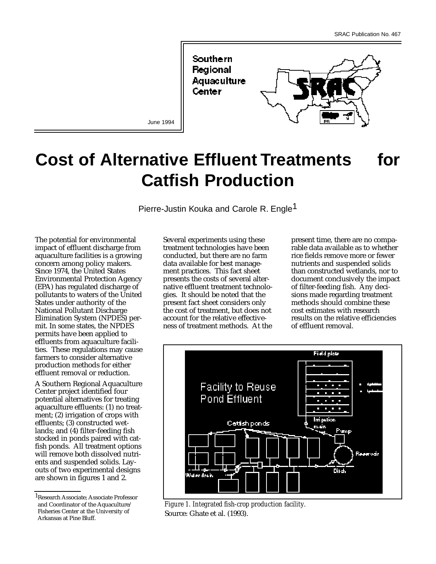

June 1994

# **Cost of Alternative Effluent Treatments for Catfish Production**

Pierre-Justin Kouka and Carole R. Engle<sup>1</sup>

The potential for environmental impact of effluent discharge from aquaculture facilities is a growing concern among policy makers. Since 1974, the United States Environmental Protection Agency (EPA) has regulated discharge of pollutants to waters of the United States under authority of the National Pollutant Discharge Elimination System (NPDES) permit. In some states, the NPDES permits have been applied to effluents from aquaculture facilities. These regulations may cause farmers to consider alternative production methods for either effluent removal or reduction.

A Southern Regional Aquaculture Center project identified four potential alternatives for treating aquaculture effluents: (1) no treatment; (2) irrigation of crops with effluents; (3) constructed wetlands; and (4) filter-feeding fish stocked in ponds paired with catfish ponds. All treatment options will remove both dissolved nutrients and suspended solids. Layouts of two experimental designs are shown in figures 1 and 2.

Several experiments using these treatment technologies have been conducted, but there are no farm data available for best management practices. This fact sheet presents the costs of several alternative effluent treatment technologies. It should be noted that the present fact sheet considers only the cost of treatment, but does not account for the relative effectiveness of treatment methods. At the

present time, there are no comparable data available as to whether rice fields remove more or fewer nutrients and suspended solids than constructed wetlands, nor to document conclusively the impact of filter-feeding fish. Any decisions made regarding treatment methods should combine these cost estimates with research results on the relative efficiencies of effluent removal.



*Figure 1. Integrated fish-crop production facility.* Source: Ghate et al. (1993).

<sup>1</sup>Research Associate; Associate Professor and Coordinator of the Aquaculture/ Fisheries Center at the University of Arkansas at Pine Bluff.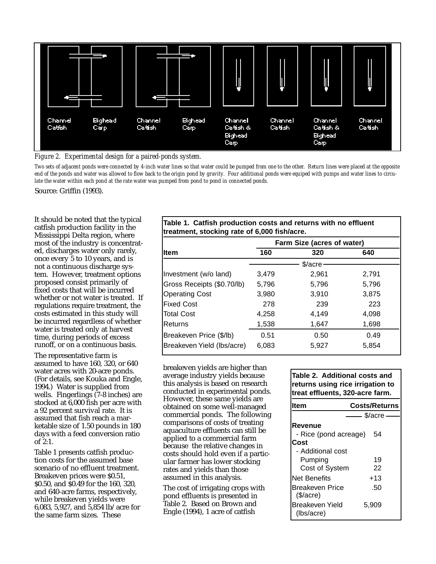

*Figure 2. Experimental design for a paired-ponds system.*

*Two sets of adjacent ponds were connected by 4-inch water lines so that water could be pumped from one to the other. Return lines were placed at the opposite end of the ponds and water was allowed to flow back to the origin pond by gravity. Four additional ponds were equiped with pumps and water lines to circulate the water within each pond at the rate water was pumped from pond to pond in connected ponds.*

Source: Griffin (1993).

It should be noted that the typical catfish production facility in the Mississippi Delta region, where most of the industry is concentrated, discharges water only rarely, once every 5 to 10 years, and is not a continuous discharge system. However, treatment options proposed consist primarily of fixed costs that will be incurred whether or not water is treated. If regulations require treatment, the costs estimated in this study will be incurred regardless of whether water is treated only at harvest time, during periods of excess runoff, or on a continuous basis.

The representative farm is assumed to have 160, 320, or 640 water acres with 20-acre ponds. (For details, see Kouka and Engle, 1994.) Water is supplied from wells. Fingerlings (7-8 inches) are stocked at 6,000 fish per acre with a 92 percent survival rate. It is assumed that fish reach a marketable size of 1.50 pounds in 180 days with a feed conversion ratio of 2:1.

Table 1 presents catfish production costs for the assumed base scenario of no effluent treatment. Breakeven prices were \$0.51, \$0.50, and \$0.49 for the 160, 320, and 640-acre farms, respectively, while breakeven yields were 6,083, 5,927, and 5,854 lb/acre for the same farm sizes. These

## **Table 1. Catfish production costs and returns with no effluent treatment, stocking rate of 6,000 fish/acre.**

|                            | Farm Size (acres of water) |                    |       |  |
|----------------------------|----------------------------|--------------------|-------|--|
| lltem                      | 160                        | 320                | 640   |  |
|                            |                            | $\frac{2}{2}$ acre |       |  |
| Investment (w/o land)      | 3,479                      | 2,961              | 2,791 |  |
| Gross Receipts (\$0.70/lb) | 5,796                      | 5,796              | 5,796 |  |
| <b>Operating Cost</b>      | 3,980                      | 3,910              | 3,875 |  |
| <b>Fixed Cost</b>          | 278                        | 239                | 223   |  |
| <b>Total Cost</b>          | 4,258                      | 4,149              | 4,098 |  |
| lReturns                   | 1,538                      | 1,647              | 1,698 |  |
| Breakeven Price (\$/lb)    | 0.51                       | 0.50               | 0.49  |  |
| Breakeven Yield (lbs/acre) | 6,083                      | 5,927              | 5,854 |  |
|                            |                            |                    |       |  |

breakeven yields are higher than average industry yields because this analysis is based on research conducted in experimental ponds. However, these same yields are obtained on some well-managed commercial ponds. The following comparisons of costs of treating aquaculture effluents can still be applied to a commercial farm because the relative changes in costs should hold even if a particular farmer has lower stocking rates and yields than those assumed in this analysis.

The cost of irrigating crops with pond effluents is presented in Table 2. Based on Brown and Engle (1994), 1 acre of catfish

#### **Table 2. Additional costs and returns using rice irrigation to treat effluents, 320-acre farm.**

| ltem                          | <b>Costs/Returns</b> |
|-------------------------------|----------------------|
|                               | \$/acre              |
| Revenue                       |                      |
| - Rice (pond acreage)         | 54                   |
| Cost                          |                      |
| - Additional cost             |                      |
| Pumping                       | 19                   |
| Cost of System                | 22                   |
| Net Benefits                  | +13                  |
| Breakeven Price<br>(S/acre)   | .50                  |
| Breakeven Yield<br>(lbs/acre) | 5.909                |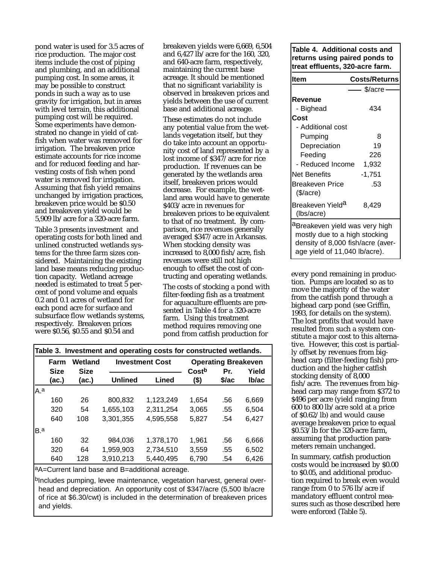pond water is used for 3.5 acres of rice production. The major cost items include the cost of piping and plumbing, and an additional pumping cost. In some areas, it may be possible to construct ponds in such a way as to use gravity for irrigation, but in areas with level terrain, this additional pumping cost will be required. Some experiments have demonstrated no change in yield of catfish when water was removed for irrigation. The breakeven price estimate accounts for rice income and for reduced feeding and harvesting costs of fish when pond water is removed for irrigation. Assuming that fish yield remains unchanged by irrigation practices, breakeven price would be \$0.50 and breakeven yield would be 5,909 lb/acre for a 320-acre farm.

Table 3 presents investment and operating costs for both lined and unlined constructed wetlands systems for the three farm sizes considered. Maintaining the existing land base means reducing production capacity. Wetland acreage needed is estimated to treat 5 percent of pond volume and equals 0.2 and 0.1 acres of wetland for each pond acre for surface and subsurface flow wetlands systems, respectively. Breakeven prices were \$0.56, \$0.55 and \$0.54 and

breakeven yields were 6,669, 6,504 and 6,427 lb/acre for the 160, 320, and 640-acre farm, respectively, maintaining the current base acreage. It should be mentioned that no significant variability is observed in breakeven prices and yields between the use of current base and additional acreage.

These estimates do not include any potential value from the wetlands vegetation itself, but they do take into account an opportunity cost of land represented by a lost income of \$347/acre for rice production. If revenues can be generated by the wetlands area itself, breakeven prices would decrease. For example, the wetland area would have to generate \$403/acre in revenues for breakeven prices to be equivalent to that of no treatment. By comparison, rice revenues generally averaged \$347/acre in Arkansas. When stocking density was increased to 8,000 fish/acre, fish revenues were still not high enough to offset the cost of contructing and operating wetlands.

The costs of stocking a pond with filter-feeding fish as a treatment for aquaculture effluents are presented in Table 4 for a 320-acre farm. Using this treatment method requires removing one pond from catfish production for

|     | Table 3. Investment and operating costs for constructed wetlands. |             |                |                        |                   |                            |       |  |
|-----|-------------------------------------------------------------------|-------------|----------------|------------------------|-------------------|----------------------------|-------|--|
|     | Farm                                                              | Wetland     |                | <b>Investment Cost</b> |                   | <b>Operating Breakeven</b> |       |  |
|     | <b>Size</b>                                                       | <b>Size</b> |                |                        | Cost <sup>b</sup> | Pr.                        | Yield |  |
|     | (ac.)                                                             | (ac.)       | <b>Unlined</b> | Lined                  | $($ \$)           | \$/ac                      | Ib/ac |  |
| A a |                                                                   |             |                |                        |                   |                            |       |  |
|     | 160                                                               | 26          | 800,832        | 1,123,249              | 1.654             | .56                        | 6,669 |  |
|     | 320                                                               | 54          | 1,655,103      | 2,311,254              | 3,065             | .55                        | 6,504 |  |
|     | 640                                                               | 108         | 3,301,355      | 4,595,558              | 5,827             | .54                        | 6,427 |  |
| B.a |                                                                   |             |                |                        |                   |                            |       |  |
|     | 160                                                               | 32          | 984.036        | 1.378.170              | 1.961             | .56                        | 6,666 |  |
|     | 320                                                               | 64          | 1,959,903      | 2,734,510              | 3,559             | .55                        | 6,502 |  |
|     | 640                                                               | 128         | 3,910,213      | 5,440,495              | 6,790             | .54                        | 6,426 |  |
|     |                                                                   |             |                |                        |                   |                            |       |  |

aA=Current land base and B=additional acreage.

bIncludes pumping, levee maintenance, vegetation harvest, general overhead and depreciation. An opportunity cost of \$347/acre (5,500 lb/acre of rice at \$6.30/cwt) is included in the determination of breakeven prices and yields.

#### **Table 4. Additional costs and returns using paired ponds to treat effluents, 320-acre farm.**

| <b>Item</b>                       | <b>Costs/Returns</b> |  |  |  |
|-----------------------------------|----------------------|--|--|--|
|                                   |                      |  |  |  |
|                                   | \$/acre              |  |  |  |
| Revenue                           |                      |  |  |  |
| - Bighead                         | 434                  |  |  |  |
| Cost                              |                      |  |  |  |
| - Additional cost                 |                      |  |  |  |
| Pumping                           | 8                    |  |  |  |
| Depreciation                      | 19                   |  |  |  |
| Feeding                           | 226                  |  |  |  |
| - Reduced Income                  | 1,932                |  |  |  |
| Net Benefits                      | -1,751               |  |  |  |
| Breakeven Price                   | .53                  |  |  |  |
| $(\$/acre)$                       |                      |  |  |  |
| Breakeven Yield <sup>a</sup>      | 8,429                |  |  |  |
| (lbs/acre)                        |                      |  |  |  |
|                                   |                      |  |  |  |
| aBreakeven yield was very high    |                      |  |  |  |
| mostly due to a high stocking     |                      |  |  |  |
| density of 8,000 fish/acre (aver- |                      |  |  |  |
| age yield of 11,040 lb/acre).     |                      |  |  |  |

every pond remaining in production. Pumps are located so as to move the majority of the water from the catfish pond through a bighead carp pond (see Griffin, 1993, for details on the system). The lost profits that would have resulted from such a system constitute a major cost to this alternative. However, this cost is partially offset by revenues from bighead carp (filter-feeding fish) production and the higher catfish stocking density of 8,000 fish/acre. The revenues from bighead carp may range from \$372 to \$496 per acre (yield ranging from 600 to 800 lb/acre sold at a price of \$0.62/lb) and would cause average breakeven price to equal \$0.53/lb for the 320-acre farm, assuming that production parameters remain unchanged.

In summary, catfish production costs would be increased by \$0.00 to \$0.05, and additional production required to break even would range from 0 to 576 lb/acre if mandatory effluent control measures such as those described here were enforced (Table 5).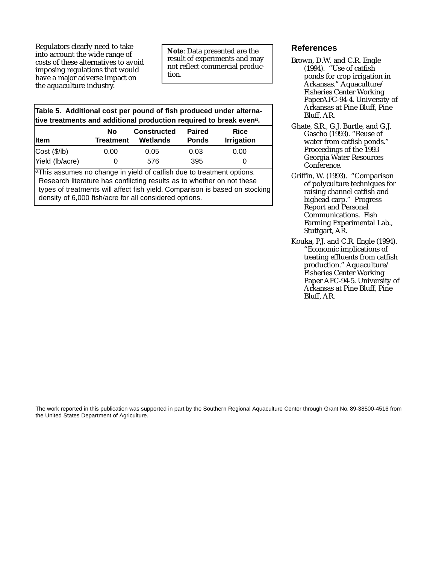Regulators clearly need to take into account the wide range of costs of these alternatives to avoid imposing regulations that would have a major adverse impact on the aquaculture industry.

**Note**: Data presented are the result of experiments and may not reflect commercial production.

**Table 5. Additional cost per pound of fish produced under alternative treatments and additional production required to break evena.**

| <b>Item</b>     | No<br>Treatment | <b>Constructed</b><br>Wetlands | <b>Paired</b><br><b>Ponds</b> | Rice<br><b>Irrigation</b> |
|-----------------|-----------------|--------------------------------|-------------------------------|---------------------------|
| Cost (\$(/1b)   | 0.00            | 0.05                           | 0.03                          | 0.00                      |
| Yield (lb/acre) |                 | 576                            | 395                           |                           |

aThis assumes no change in yield of catfish due to treatment options. Research literature has conflicting results as to whether on not these types of treatments will affect fish yield. Comparison is based on stocking density of 6,000 fish/acre for all considered options.

### **References**

- Brown, D.W. and C.R. Engle (1994). "Use of catfish ponds for crop irrigation in Arkansas." Aquaculture/ Fisheries Center Working PaperAFC-94-4. University of Arkansas at Pine Bluff, Pine Bluff, AR.
- Ghate, S.R., G.J. Burtle, and G.J. Gascho (1993). "Reuse of water from catfish ponds." Proceedings of the 1993 Georgia Water Resources Conference.
- Griffin, W. (1993). "Comparison of polyculture techniques for raising channel catfish and bighead carp." Progress Report and Personal Communications. Fish Farming Experimental Lab., Stuttgart, AR.
- Kouka, P.J. and C.R. Engle (1994). "Economic implications of treating effluents from catfish production." Aquaculture/ Fisheries Center Working Paper AFC-94-5. University of Arkansas at Pine Bluff, Pine Bluff, AR.

The work reported in this publication was supported in part by the Southern Regional Aquaculture Center through Grant No. 89-38500-4516 from the United States Department of Agriculture.